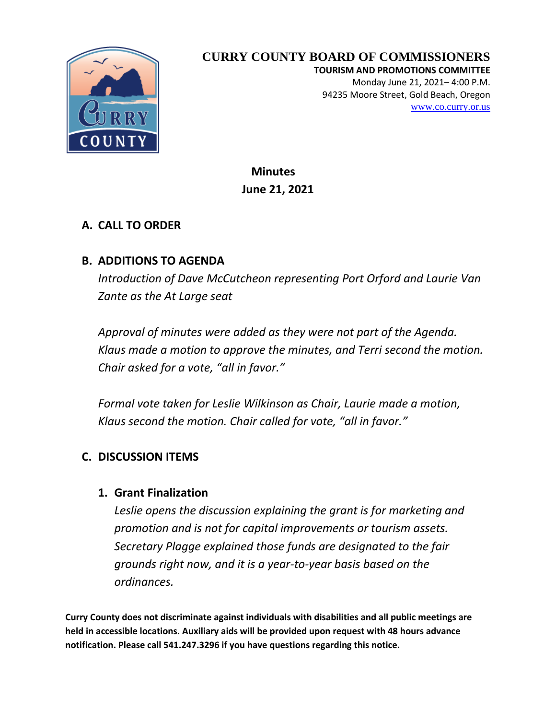

# **CURRY COUNTY BOARD OF COMMISSIONERS**

**TOURISM AND PROMOTIONS COMMITTEE** Monday June 21, 2021– 4:00 P.M. 94235 Moore Street, Gold Beach, Oregon [www.co.curry.or.us](http://www.co.curry.or.us/)

 **Minutes June 21, 2021**

### **A. CALL TO ORDER**

### **B. ADDITIONS TO AGENDA**

*Introduction of Dave McCutcheon representing Port Orford and Laurie Van Zante as the At Large seat*

*Approval of minutes were added as they were not part of the Agenda. Klaus made a motion to approve the minutes, and Terri second the motion. Chair asked for a vote, "all in favor."*

*Formal vote taken for Leslie Wilkinson as Chair, Laurie made a motion, Klaus second the motion. Chair called for vote, "all in favor."*

### **C. DISCUSSION ITEMS**

#### **1. Grant Finalization**

*Leslie opens the discussion explaining the grant is for marketing and promotion and is not for capital improvements or tourism assets. Secretary Plagge explained those funds are designated to the fair grounds right now, and it is a year-to-year basis based on the ordinances.*

**Curry County does not discriminate against individuals with disabilities and all public meetings are held in accessible locations. Auxiliary aids will be provided upon request with 48 hours advance notification. Please call 541.247.3296 if you have questions regarding this notice.**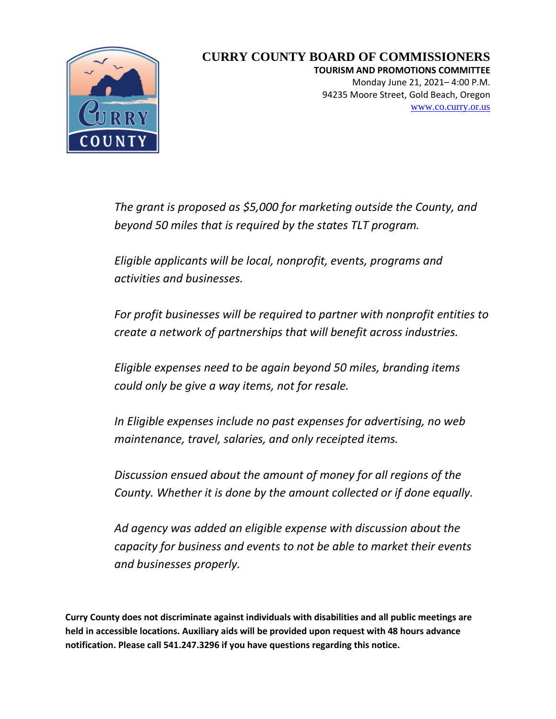

## **CURRY COUNTY BOARD OF COMMISSIONERS**

**TOURISM AND PROMOTIONS COMMITTEE** Monday June 21, 2021– 4:00 P.M. 94235 Moore Street, Gold Beach, Oregon [www.co.curry.or.us](http://www.co.curry.or.us/)

*The grant is proposed as \$5,000 for marketing outside the County, and beyond 50 miles that is required by the states TLT program.*

*Eligible applicants will be local, nonprofit, events, programs and activities and businesses.* 

*For profit businesses will be required to partner with nonprofit entities to create a network of partnerships that will benefit across industries.*

*Eligible expenses need to be again beyond 50 miles, branding items could only be give a way items, not for resale.* 

*In Eligible expenses include no past expenses for advertising, no web maintenance, travel, salaries, and only receipted items.*

*Discussion ensued about the amount of money for all regions of the County. Whether it is done by the amount collected or if done equally.* 

*Ad agency was added an eligible expense with discussion about the capacity for business and events to not be able to market their events and businesses properly.*

**Curry County does not discriminate against individuals with disabilities and all public meetings are held in accessible locations. Auxiliary aids will be provided upon request with 48 hours advance notification. Please call 541.247.3296 if you have questions regarding this notice.**